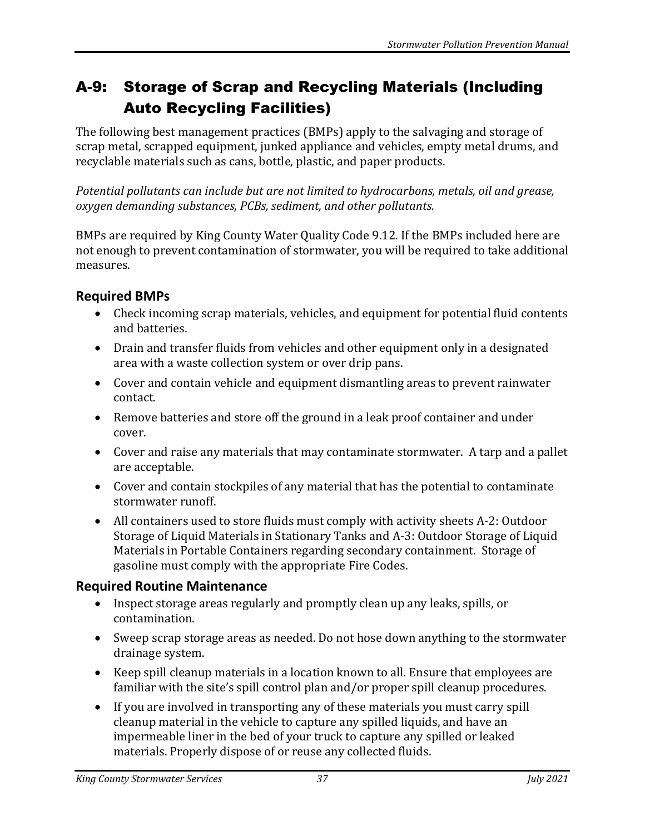# A-9: Storage of Scrap and Recycling Materials (Including Auto Recycling Facilities)

The following best management practices (BMPs) apply to the salvaging and storage of scrap metal, scrapped equipment, junked appliance and vehicles, empty metal drums, and recyclable materials such as cans, bottle, plastic, and paper products.

*Potential pollutants can include but are not limited to hydrocarbons, metals, oil and grease, oxygen demanding substances, PCBs, sediment, and other pollutants.*

BMPs are required by King County Water Quality Code 9.12. If the BMPs included here are not enough to prevent contamination of stormwater, you will be required to take additional measures.

### **Required BMPs**

- Check incoming scrap materials, vehicles, and equipment for potential fluid contents and batteries.
- Drain and transfer fluids from vehicles and other equipment only in a designated area with a waste collection system or over drip pans.
- Cover and contain vehicle and equipment dismantling areas to prevent rainwater contact.
- Remove batteries and store off the ground in a leak proof container and under cover.
- Cover and raise any materials that may contaminate stormwater. A tarp and a pallet are acceptable.
- Cover and contain stockpiles of any material that has the potential to contaminate stormwater runoff.
- All containers used to store fluids must comply with activity sheets A-2: Outdoor Storage of Liquid Materials in Stationary Tanks and A-3: Outdoor Storage of Liquid Materials in Portable Containers regarding secondary containment. Storage of gasoline must comply with the appropriate Fire Codes.

#### **Required Routine Maintenance**

- Inspect storage areas regularly and promptly clean up any leaks, spills, or contamination.
- Sweep scrap storage areas as needed. Do not hose down anything to the stormwater drainage system.
- Keep spill cleanup materials in a location known to all. Ensure that employees are familiar with the site's spill control plan and/or proper spill cleanup procedures.
- If you are involved in transporting any of these materials you must carry spill cleanup material in the vehicle to capture any spilled liquids, and have an impermeable liner in the bed of your truck to capture any spilled or leaked materials. Properly dispose of or reuse any collected fluids.